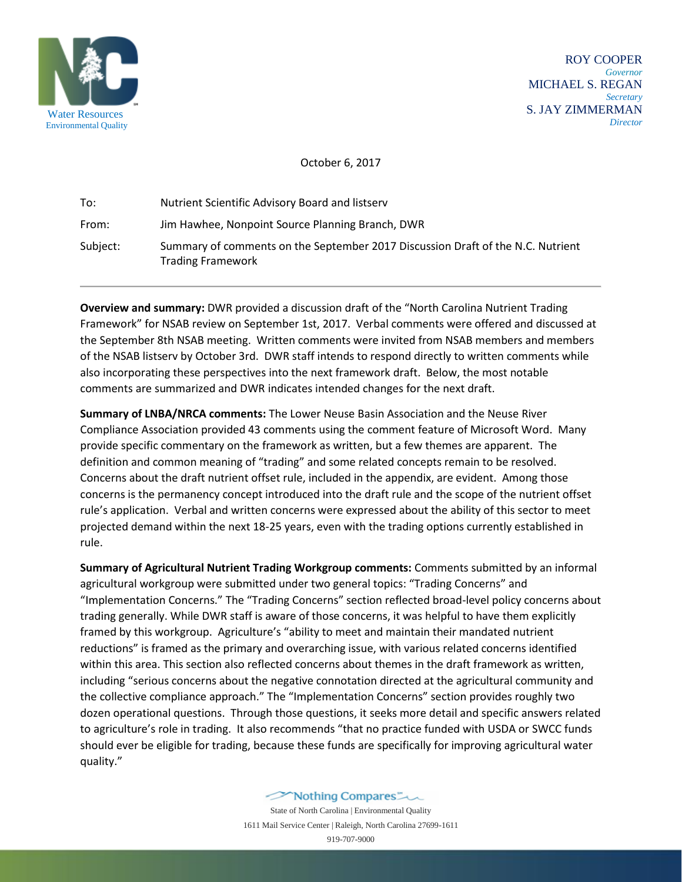

 ROY COOPER *Governor* MICHAEL S. REGAN  *Secretary* S. JAY ZIMMERMAN *Director*

October 6, 2017

| To:      | Nutrient Scientific Advisory Board and listsery                                                             |
|----------|-------------------------------------------------------------------------------------------------------------|
| From:    | Jim Hawhee, Nonpoint Source Planning Branch, DWR                                                            |
| Subject: | Summary of comments on the September 2017 Discussion Draft of the N.C. Nutrient<br><b>Trading Framework</b> |

**Overview and summary:** DWR provided a discussion draft of the "North Carolina Nutrient Trading Framework" for NSAB review on September 1st, 2017. Verbal comments were offered and discussed at the September 8th NSAB meeting. Written comments were invited from NSAB members and members of the NSAB listserv by October 3rd. DWR staff intends to respond directly to written comments while also incorporating these perspectives into the next framework draft. Below, the most notable comments are summarized and DWR indicates intended changes for the next draft.

**Summary of LNBA/NRCA comments:** The Lower Neuse Basin Association and the Neuse River Compliance Association provided 43 comments using the comment feature of Microsoft Word. Many provide specific commentary on the framework as written, but a few themes are apparent. The definition and common meaning of "trading" and some related concepts remain to be resolved. Concerns about the draft nutrient offset rule, included in the appendix, are evident. Among those concerns is the permanency concept introduced into the draft rule and the scope of the nutrient offset rule's application. Verbal and written concerns were expressed about the ability of this sector to meet projected demand within the next 18-25 years, even with the trading options currently established in rule.

**Summary of Agricultural Nutrient Trading Workgroup comments:** Comments submitted by an informal agricultural workgroup were submitted under two general topics: "Trading Concerns" and "Implementation Concerns." The "Trading Concerns" section reflected broad-level policy concerns about trading generally. While DWR staff is aware of those concerns, it was helpful to have them explicitly framed by this workgroup. Agriculture's "ability to meet and maintain their mandated nutrient reductions" is framed as the primary and overarching issue, with various related concerns identified within this area. This section also reflected concerns about themes in the draft framework as written, including "serious concerns about the negative connotation directed at the agricultural community and the collective compliance approach." The "Implementation Concerns" section provides roughly two dozen operational questions. Through those questions, it seeks more detail and specific answers related to agriculture's role in trading. It also recommends "that no practice funded with USDA or SWCC funds should ever be eligible for trading, because these funds are specifically for improving agricultural water quality."

> Mothing Compares State of North Carolina | Environmental Quality 1611 Mail Service Center | Raleigh, North Carolina 27699-1611 919-707-9000